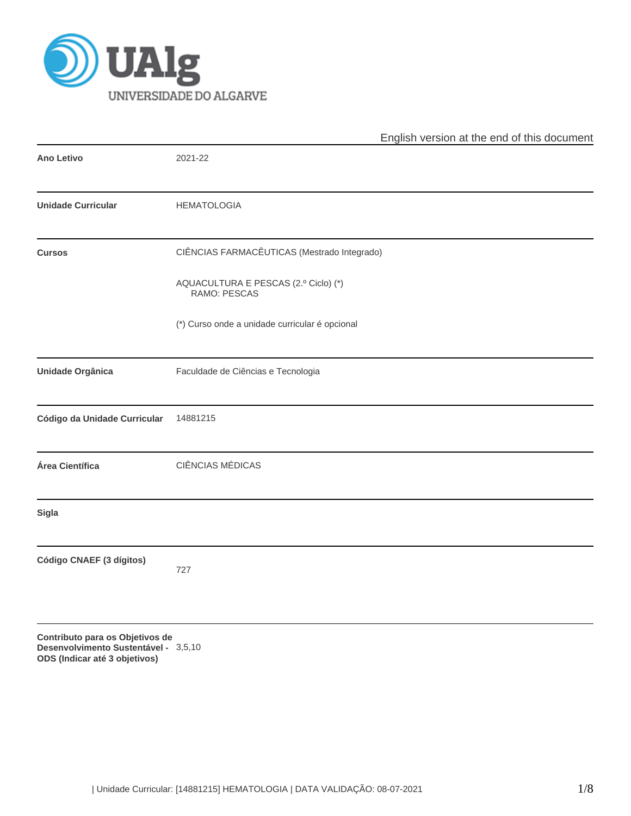

|                              | English version at the end of this document          |  |  |  |  |  |  |
|------------------------------|------------------------------------------------------|--|--|--|--|--|--|
| <b>Ano Letivo</b>            | 2021-22                                              |  |  |  |  |  |  |
| <b>Unidade Curricular</b>    | <b>HEMATOLOGIA</b>                                   |  |  |  |  |  |  |
| <b>Cursos</b>                | CIÊNCIAS FARMACÊUTICAS (Mestrado Integrado)          |  |  |  |  |  |  |
|                              | AQUACULTURA E PESCAS (2.º Ciclo) (*)<br>RAMO: PESCAS |  |  |  |  |  |  |
|                              | (*) Curso onde a unidade curricular é opcional       |  |  |  |  |  |  |
| <b>Unidade Orgânica</b>      | Faculdade de Ciências e Tecnologia                   |  |  |  |  |  |  |
| Código da Unidade Curricular | 14881215                                             |  |  |  |  |  |  |
| Área Científica              | <b>CIÊNCIAS MÉDICAS</b>                              |  |  |  |  |  |  |
| <b>Sigla</b>                 |                                                      |  |  |  |  |  |  |
| Código CNAEF (3 dígitos)     | 727                                                  |  |  |  |  |  |  |
|                              |                                                      |  |  |  |  |  |  |

**Contributo para os Objetivos de Desenvolvimento Sustentável - ODS (Indicar até 3 objetivos)** 3,5,10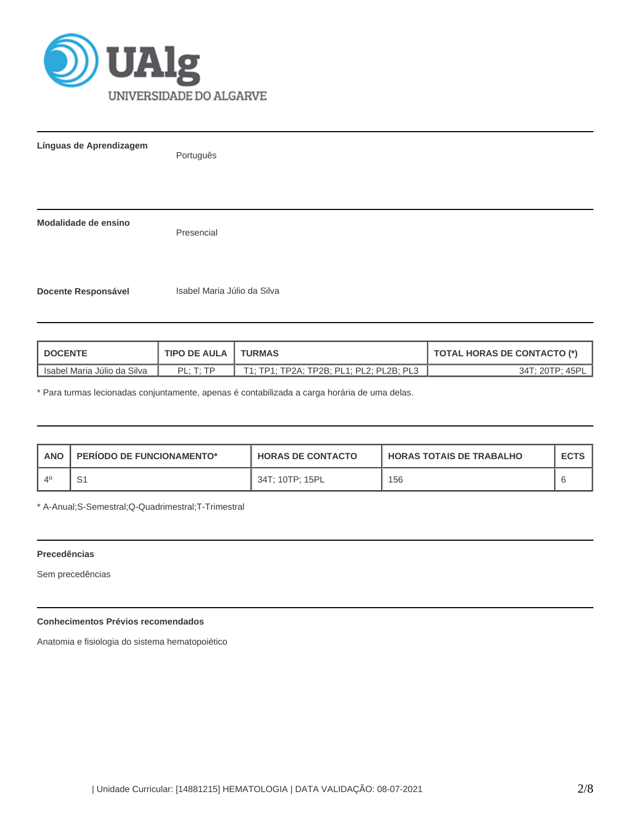

| Línguas de Aprendizagem    | Português                   |
|----------------------------|-----------------------------|
| Modalidade de ensino       | Presencial                  |
| <b>Docente Responsável</b> | Isabel Maria Júlio da Silva |

| <b>DOCENTE</b>              | <b>TIPO DE AULA</b>         | <b>TURMAS</b>                            | <b>TOTAL HORAS DE CONTACTO (*)</b> |
|-----------------------------|-----------------------------|------------------------------------------|------------------------------------|
| Isabel Maria Júlio da Silva | $PI \cdot T \cdot TP$<br>-- | T1; TP1; TP2A; TP2B; PL1; PL2; PL2B; PL3 | 34T: 20TP: 45PL                    |

\* Para turmas lecionadas conjuntamente, apenas é contabilizada a carga horária de uma delas.

| <b>ANO</b> | <b>PERIODO DE FUNCIONAMENTO*</b> | <b>HORAS DE CONTACTO</b> | <b>HORAS TOTAIS DE TRABALHO</b> | <b>ECTS</b> |
|------------|----------------------------------|--------------------------|---------------------------------|-------------|
| $\Delta^0$ |                                  | 34T: 10TP: 15PL          | 156                             |             |

\* A-Anual;S-Semestral;Q-Quadrimestral;T-Trimestral

## **Precedências**

Sem precedências

# **Conhecimentos Prévios recomendados**

Anatomia e fisiologia do sistema hematopoiético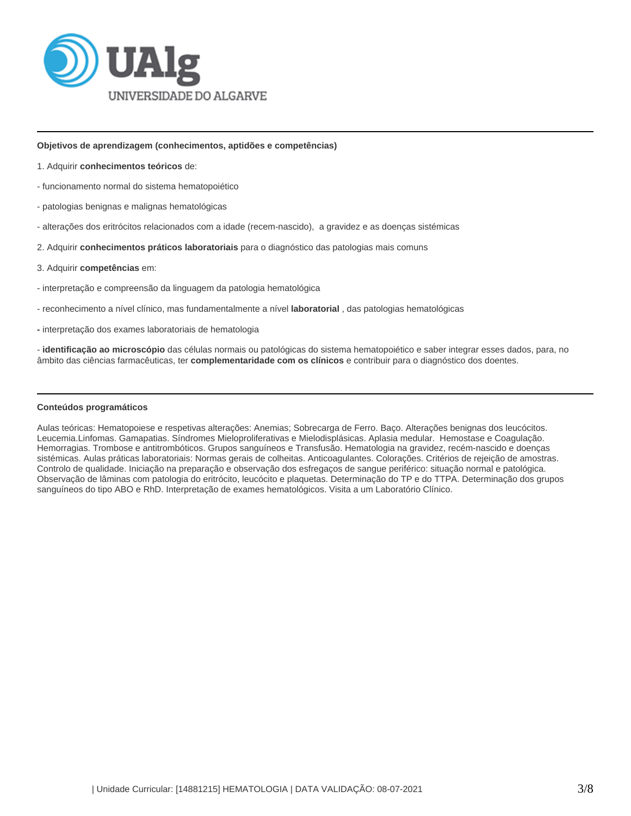

#### **Objetivos de aprendizagem (conhecimentos, aptidões e competências)**

- 1. Adquirir **conhecimentos teóricos** de:
- funcionamento normal do sistema hematopoiético
- patologias benignas e malignas hematológicas
- alterações dos eritrócitos relacionados com a idade (recem-nascido), a gravidez e as doenças sistémicas
- 2. Adquirir **conhecimentos práticos laboratoriais** para o diagnóstico das patologias mais comuns
- 3. Adquirir **competências** em:
- interpretação e compreensão da linguagem da patologia hematológica
- reconhecimento a nível clínico, mas fundamentalmente a nível **laboratorial** , das patologias hematológicas
- **-** interpretação dos exames laboratoriais de hematologia

- **identificação ao microscópio** das células normais ou patológicas do sistema hematopoiético e saber integrar esses dados, para, no âmbito das ciências farmacêuticas, ter **complementaridade com os clínicos** e contribuir para o diagnóstico dos doentes.

# **Conteúdos programáticos**

Aulas teóricas: Hematopoiese e respetivas alterações: Anemias; Sobrecarga de Ferro. Baço. Alterações benignas dos leucócitos. Leucemia.Linfomas. Gamapatias. Síndromes Mieloproliferativas e Mielodisplásicas. Aplasia medular. Hemostase e Coagulação. Hemorragias. Trombose e antitrombóticos. Grupos sanguíneos e Transfusão. Hematologia na gravidez, recém-nascido e doenças sistémicas. Aulas práticas laboratoriais: Normas gerais de colheitas. Anticoagulantes. Colorações. Critérios de rejeição de amostras. Controlo de qualidade. Iniciação na preparação e observação dos esfregaços de sangue periférico: situação normal e patológica. Observação de lâminas com patologia do eritrócito, leucócito e plaquetas. Determinação do TP e do TTPA. Determinação dos grupos sanguíneos do tipo ABO e RhD. Interpretação de exames hematológicos. Visita a um Laboratório Clínico.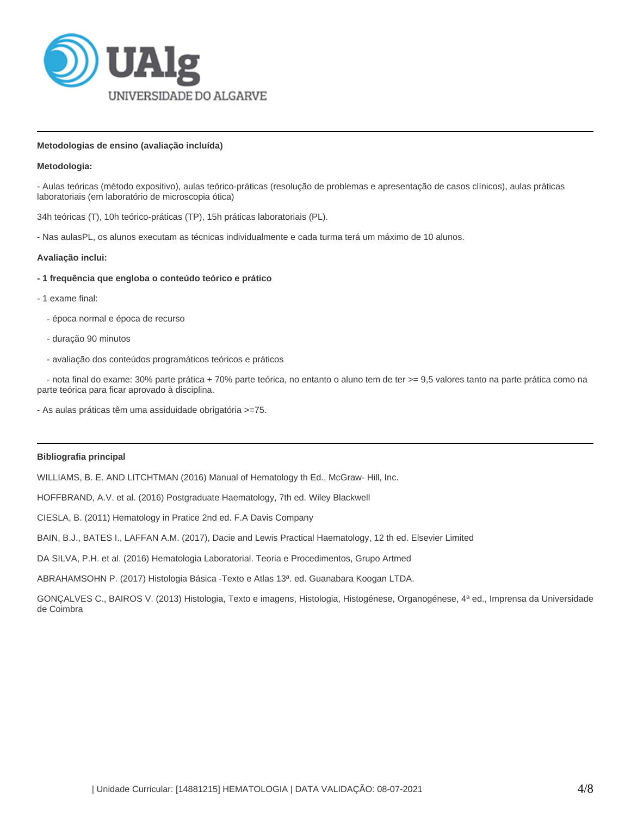

## **Metodologias de ensino (avaliação incluída)**

#### **Metodologia:**

- Aulas teóricas (método expositivo), aulas teórico-práticas (resolução de problemas e apresentação de casos clínicos), aulas práticas laboratoriais (em laboratório de microscopia ótica)

34h teóricas (T), 10h teórico-práticas (TP), 15h práticas laboratoriais (PL).

- Nas aulasPL, os alunos executam as técnicas individualmente e cada turma terá um máximo de 10 alunos.

#### **Avaliação inclui:**

- **1 frequência que engloba o conteúdo teórico e prático**
- 1 exame final:
	- época normal e época de recurso
	- duração 90 minutos
	- avaliação dos conteúdos programáticos teóricos e práticos

 - nota final do exame: 30% parte prática + 70% parte teórica, no entanto o aluno tem de ter >= 9,5 valores tanto na parte prática como na parte teórica para ficar aprovado à disciplina.

- As aulas práticas têm uma assiduidade obrigatória >=75.

#### **Bibliografia principal**

WILLIAMS, B. E. AND LITCHTMAN (2016) Manual of Hematology th Ed., McGraw- Hill, Inc.

HOFFBRAND, A.V. et al. (2016) Postgraduate Haematology, 7th ed. Wiley Blackwell

CIESLA, B. (2011) Hematology in Pratice 2nd ed. F.A Davis Company

BAIN, B.J., BATES I., LAFFAN A.M. (2017), Dacie and Lewis Practical Haematology, 12 th ed. Elsevier Limited

DA SILVA, P.H. et al. (2016) Hematologia Laboratorial. Teoria e Procedimentos, Grupo Artmed

ABRAHAMSOHN P. (2017) Histologia Básica -Texto e Atlas 13ª. ed. Guanabara Koogan LTDA.

GONÇALVES C., BAIROS V. (2013) Histologia, Texto e imagens, Histologia, Histogénese, Organogénese, 4ª ed., Imprensa da Universidade de Coimbra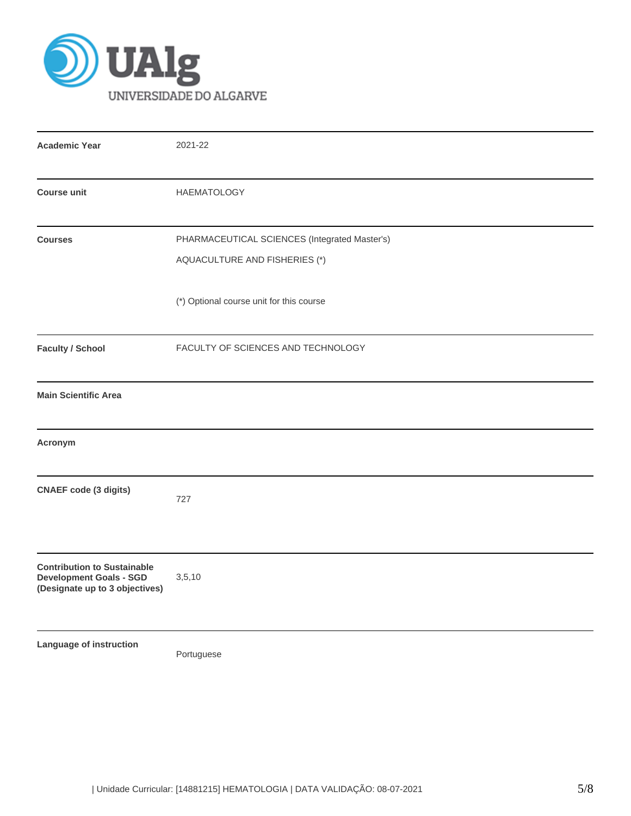

| <b>Academic Year</b>                                                                                   | 2021-22                                                                        |  |  |  |  |  |
|--------------------------------------------------------------------------------------------------------|--------------------------------------------------------------------------------|--|--|--|--|--|
| <b>Course unit</b>                                                                                     | <b>HAEMATOLOGY</b>                                                             |  |  |  |  |  |
| <b>Courses</b>                                                                                         | PHARMACEUTICAL SCIENCES (Integrated Master's)<br>AQUACULTURE AND FISHERIES (*) |  |  |  |  |  |
|                                                                                                        | (*) Optional course unit for this course                                       |  |  |  |  |  |
| <b>Faculty / School</b>                                                                                | FACULTY OF SCIENCES AND TECHNOLOGY                                             |  |  |  |  |  |
| <b>Main Scientific Area</b>                                                                            |                                                                                |  |  |  |  |  |
| Acronym                                                                                                |                                                                                |  |  |  |  |  |
| <b>CNAEF</b> code (3 digits)                                                                           | 727                                                                            |  |  |  |  |  |
| <b>Contribution to Sustainable</b><br><b>Development Goals - SGD</b><br>(Designate up to 3 objectives) | 3,5,10                                                                         |  |  |  |  |  |
| Language of instruction                                                                                | Portuguese                                                                     |  |  |  |  |  |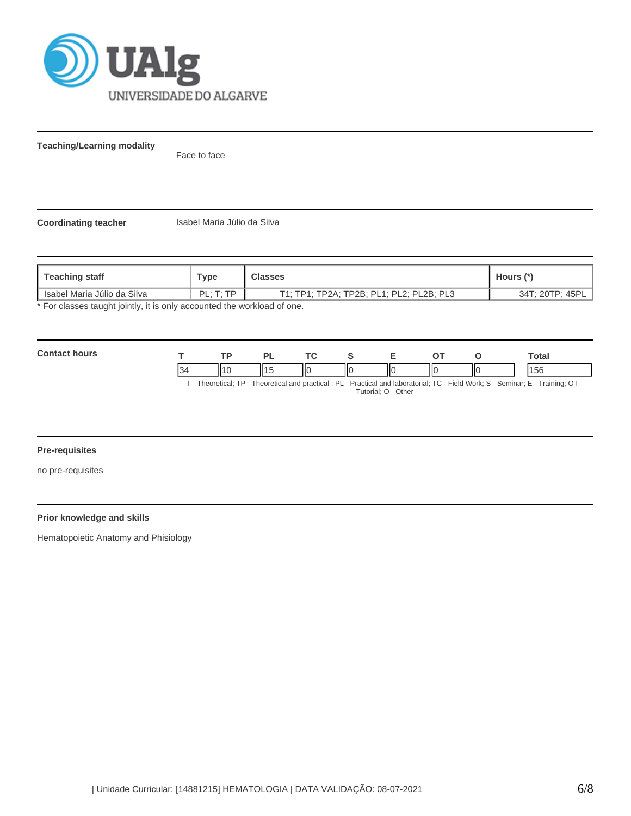

**Teaching/Learning modality**

Face to face

**Coordinating teacher** Isabel Maria Júlio da Silva

| <b>Teaching staff</b>                                                   | Type                  | <b>Classes</b>                           | Hours (*)       |  |  |  |
|-------------------------------------------------------------------------|-----------------------|------------------------------------------|-----------------|--|--|--|
| l Isabel Maria Júlio da Silva                                           | $PI \cdot T \cdot TP$ | T1: TP1: TP2A: TP2B: PL1: PL2: PL2B: PL3 | 34T; 20TP; 45PL |  |  |  |
| * For classes taught jointly, it is only accounted the workload of one. |                       |                                          |                 |  |  |  |

\* For classes taught jointly, it is only accounted the workload of one.

| $\sim$ |     | D) |   |     | -  |    |    | Total |
|--------|-----|----|---|-----|----|----|----|-------|
|        | 114 | ╹╹ | Ш | IIс | IЮ | IК | ΠС | 5°    |

T - Theoretical; TP - Theoretical and practical ; PL - Practical and laboratorial; TC - Field Work; S - Seminar; E - Training; OT - Tutorial; O - Other

## **Pre-requisites**

no pre-requisites

# **Prior knowledge and skills**

Hematopoietic Anatomy and Phisiology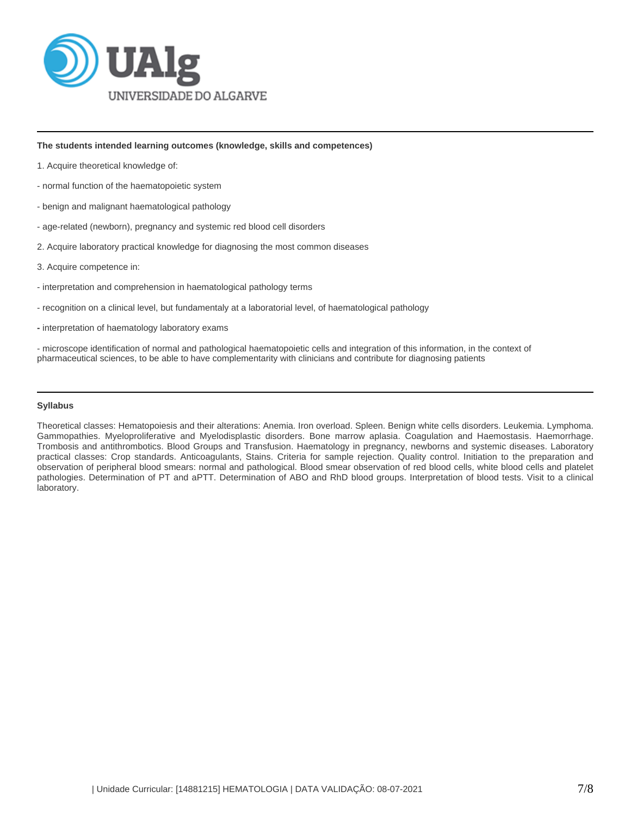

**The students intended learning outcomes (knowledge, skills and competences)**

- 1. Acquire theoretical knowledge of:
- normal function of the haematopoietic system
- benign and malignant haematological pathology
- age-related (newborn), pregnancy and systemic red blood cell disorders
- 2. Acquire laboratory practical knowledge for diagnosing the most common diseases
- 3. Acquire competence in:
- interpretation and comprehension in haematological pathology terms
- recognition on a clinical level, but fundamentaly at a laboratorial level, of haematological pathology
- **-** interpretation of haematology laboratory exams

- microscope identification of normal and pathological haematopoietic cells and integration of this information, in the context of pharmaceutical sciences, to be able to have complementarity with clinicians and contribute for diagnosing patients

#### **Syllabus**

Theoretical classes: Hematopoiesis and their alterations: Anemia. Iron overload. Spleen. Benign white cells disorders. Leukemia. Lymphoma. Gammopathies. Myeloproliferative and Myelodisplastic disorders. Bone marrow aplasia. Coagulation and Haemostasis. Haemorrhage. Trombosis and antithrombotics. Blood Groups and Transfusion. Haematology in pregnancy, newborns and systemic diseases. Laboratory practical classes: Crop standards. Anticoagulants, Stains. Criteria for sample rejection. Quality control. Initiation to the preparation and observation of peripheral blood smears: normal and pathological. Blood smear observation of red blood cells, white blood cells and platelet pathologies. Determination of PT and aPTT. Determination of ABO and RhD blood groups. Interpretation of blood tests. Visit to a clinical laboratory.